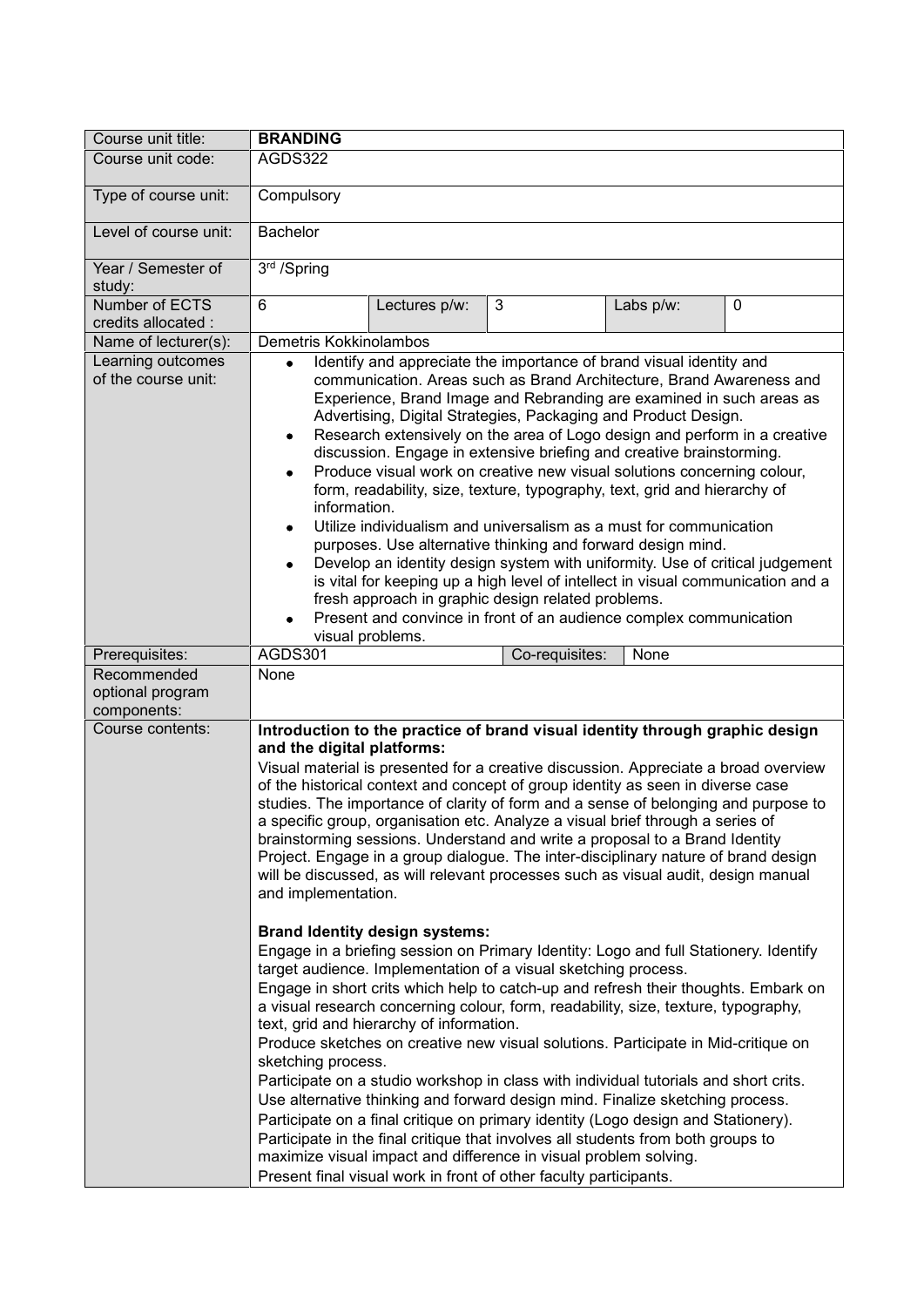| Course unit title:                             | <b>BRANDING</b>                                                                                                                                                                                                                                                                                                                                                                                                                                                                                                                                                                                                                                                                                                                                                                                                                                                                                                                                                                                                                                                                                      |  |
|------------------------------------------------|------------------------------------------------------------------------------------------------------------------------------------------------------------------------------------------------------------------------------------------------------------------------------------------------------------------------------------------------------------------------------------------------------------------------------------------------------------------------------------------------------------------------------------------------------------------------------------------------------------------------------------------------------------------------------------------------------------------------------------------------------------------------------------------------------------------------------------------------------------------------------------------------------------------------------------------------------------------------------------------------------------------------------------------------------------------------------------------------------|--|
| Course unit code:                              | AGDS322                                                                                                                                                                                                                                                                                                                                                                                                                                                                                                                                                                                                                                                                                                                                                                                                                                                                                                                                                                                                                                                                                              |  |
| Type of course unit:                           | Compulsory                                                                                                                                                                                                                                                                                                                                                                                                                                                                                                                                                                                                                                                                                                                                                                                                                                                                                                                                                                                                                                                                                           |  |
| Level of course unit:                          | <b>Bachelor</b>                                                                                                                                                                                                                                                                                                                                                                                                                                                                                                                                                                                                                                                                                                                                                                                                                                                                                                                                                                                                                                                                                      |  |
| Year / Semester of<br>study:                   | 3rd /Spring                                                                                                                                                                                                                                                                                                                                                                                                                                                                                                                                                                                                                                                                                                                                                                                                                                                                                                                                                                                                                                                                                          |  |
| Number of ECTS<br>credits allocated :          | 6<br>3<br>Lectures p/w:<br>Labs p/w:<br>0                                                                                                                                                                                                                                                                                                                                                                                                                                                                                                                                                                                                                                                                                                                                                                                                                                                                                                                                                                                                                                                            |  |
| Name of lecturer(s):                           | Demetris Kokkinolambos                                                                                                                                                                                                                                                                                                                                                                                                                                                                                                                                                                                                                                                                                                                                                                                                                                                                                                                                                                                                                                                                               |  |
| Learning outcomes<br>of the course unit:       | Identify and appreciate the importance of brand visual identity and<br>$\bullet$<br>communication. Areas such as Brand Architecture, Brand Awareness and<br>Experience, Brand Image and Rebranding are examined in such areas as<br>Advertising, Digital Strategies, Packaging and Product Design.<br>Research extensively on the area of Logo design and perform in a creative<br>$\bullet$<br>discussion. Engage in extensive briefing and creative brainstorming.<br>Produce visual work on creative new visual solutions concerning colour,<br>form, readability, size, texture, typography, text, grid and hierarchy of<br>information.<br>Utilize individualism and universalism as a must for communication<br>purposes. Use alternative thinking and forward design mind.<br>Develop an identity design system with uniformity. Use of critical judgement<br>is vital for keeping up a high level of intellect in visual communication and a<br>fresh approach in graphic design related problems.<br>Present and convince in front of an audience complex communication<br>visual problems. |  |
| Prerequisites:                                 | <b>AGDS301</b><br>Co-requisites:<br>None                                                                                                                                                                                                                                                                                                                                                                                                                                                                                                                                                                                                                                                                                                                                                                                                                                                                                                                                                                                                                                                             |  |
| Recommended<br>optional program<br>components: | None                                                                                                                                                                                                                                                                                                                                                                                                                                                                                                                                                                                                                                                                                                                                                                                                                                                                                                                                                                                                                                                                                                 |  |
| Course contents:                               | Introduction to the practice of brand visual identity through graphic design<br>and the digital platforms:<br>Visual material is presented for a creative discussion. Appreciate a broad overview<br>of the historical context and concept of group identity as seen in diverse case<br>studies. The importance of clarity of form and a sense of belonging and purpose to<br>a specific group, organisation etc. Analyze a visual brief through a series of<br>brainstorming sessions. Understand and write a proposal to a Brand Identity<br>Project. Engage in a group dialogue. The inter-disciplinary nature of brand design<br>will be discussed, as will relevant processes such as visual audit, design manual<br>and implementation.                                                                                                                                                                                                                                                                                                                                                        |  |
|                                                | <b>Brand Identity design systems:</b><br>Engage in a briefing session on Primary Identity: Logo and full Stationery. Identify<br>target audience. Implementation of a visual sketching process.<br>Engage in short crits which help to catch-up and refresh their thoughts. Embark on<br>a visual research concerning colour, form, readability, size, texture, typography,<br>text, grid and hierarchy of information.<br>Produce sketches on creative new visual solutions. Participate in Mid-critique on<br>sketching process.<br>Participate on a studio workshop in class with individual tutorials and short crits.<br>Use alternative thinking and forward design mind. Finalize sketching process.<br>Participate on a final critique on primary identity (Logo design and Stationery).<br>Participate in the final critique that involves all students from both groups to<br>maximize visual impact and difference in visual problem solving.<br>Present final visual work in front of other faculty participants.                                                                        |  |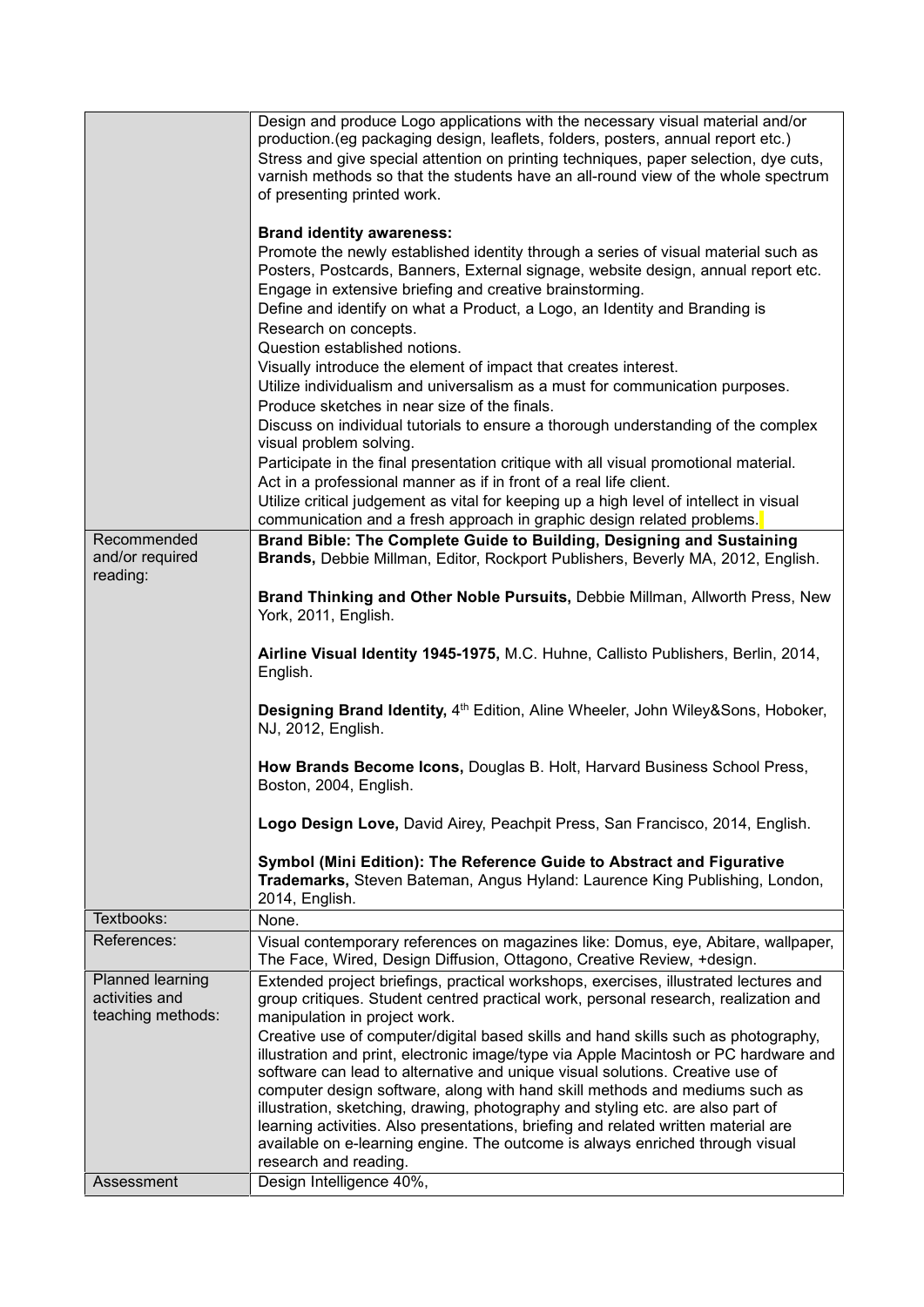| Recommended<br>and/or required<br>reading:              | Design and produce Logo applications with the necessary visual material and/or<br>production. (eg packaging design, leaflets, folders, posters, annual report etc.)<br>Stress and give special attention on printing techniques, paper selection, dye cuts,<br>varnish methods so that the students have an all-round view of the whole spectrum<br>of presenting printed work.<br><b>Brand identity awareness:</b><br>Promote the newly established identity through a series of visual material such as<br>Posters, Postcards, Banners, External signage, website design, annual report etc.<br>Engage in extensive briefing and creative brainstorming.<br>Define and identify on what a Product, a Logo, an Identity and Branding is<br>Research on concepts.<br>Question established notions.<br>Visually introduce the element of impact that creates interest.<br>Utilize individualism and universalism as a must for communication purposes.<br>Produce sketches in near size of the finals.<br>Discuss on individual tutorials to ensure a thorough understanding of the complex<br>visual problem solving.<br>Participate in the final presentation critique with all visual promotional material.<br>Act in a professional manner as if in front of a real life client.<br>Utilize critical judgement as vital for keeping up a high level of intellect in visual<br>communication and a fresh approach in graphic design related problems.<br>Brand Bible: The Complete Guide to Building, Designing and Sustaining<br>Brands, Debbie Millman, Editor, Rockport Publishers, Beverly MA, 2012, English.<br>Brand Thinking and Other Noble Pursuits, Debbie Millman, Allworth Press, New<br>York, 2011, English.<br>Airline Visual Identity 1945-1975, M.C. Huhne, Callisto Publishers, Berlin, 2014,<br>English.<br>Designing Brand Identity, 4th Edition, Aline Wheeler, John Wiley&Sons, Hoboker,<br>NJ, 2012, English.<br>How Brands Become Icons, Douglas B. Holt, Harvard Business School Press,<br>Boston, 2004, English.<br>Logo Design Love, David Airey, Peachpit Press, San Francisco, 2014, English. |
|---------------------------------------------------------|-----------------------------------------------------------------------------------------------------------------------------------------------------------------------------------------------------------------------------------------------------------------------------------------------------------------------------------------------------------------------------------------------------------------------------------------------------------------------------------------------------------------------------------------------------------------------------------------------------------------------------------------------------------------------------------------------------------------------------------------------------------------------------------------------------------------------------------------------------------------------------------------------------------------------------------------------------------------------------------------------------------------------------------------------------------------------------------------------------------------------------------------------------------------------------------------------------------------------------------------------------------------------------------------------------------------------------------------------------------------------------------------------------------------------------------------------------------------------------------------------------------------------------------------------------------------------------------------------------------------------------------------------------------------------------------------------------------------------------------------------------------------------------------------------------------------------------------------------------------------------------------------------------------------------------------------------------------------------------------------------------------------------------------------------------------------------------------------------------------------------------|
|                                                         | Symbol (Mini Edition): The Reference Guide to Abstract and Figurative<br>Trademarks, Steven Bateman, Angus Hyland: Laurence King Publishing, London,<br>2014, English.                                                                                                                                                                                                                                                                                                                                                                                                                                                                                                                                                                                                                                                                                                                                                                                                                                                                                                                                                                                                                                                                                                                                                                                                                                                                                                                                                                                                                                                                                                                                                                                                                                                                                                                                                                                                                                                                                                                                                      |
| Textbooks:                                              | None.                                                                                                                                                                                                                                                                                                                                                                                                                                                                                                                                                                                                                                                                                                                                                                                                                                                                                                                                                                                                                                                                                                                                                                                                                                                                                                                                                                                                                                                                                                                                                                                                                                                                                                                                                                                                                                                                                                                                                                                                                                                                                                                       |
| References:                                             | Visual contemporary references on magazines like: Domus, eye, Abitare, wallpaper,<br>The Face, Wired, Design Diffusion, Ottagono, Creative Review, +design.                                                                                                                                                                                                                                                                                                                                                                                                                                                                                                                                                                                                                                                                                                                                                                                                                                                                                                                                                                                                                                                                                                                                                                                                                                                                                                                                                                                                                                                                                                                                                                                                                                                                                                                                                                                                                                                                                                                                                                 |
| Planned learning<br>activities and<br>teaching methods: | Extended project briefings, practical workshops, exercises, illustrated lectures and<br>group critiques. Student centred practical work, personal research, realization and<br>manipulation in project work.<br>Creative use of computer/digital based skills and hand skills such as photography,<br>illustration and print, electronic image/type via Apple Macintosh or PC hardware and<br>software can lead to alternative and unique visual solutions. Creative use of<br>computer design software, along with hand skill methods and mediums such as<br>illustration, sketching, drawing, photography and styling etc. are also part of<br>learning activities. Also presentations, briefing and related written material are<br>available on e-learning engine. The outcome is always enriched through visual<br>research and reading.                                                                                                                                                                                                                                                                                                                                                                                                                                                                                                                                                                                                                                                                                                                                                                                                                                                                                                                                                                                                                                                                                                                                                                                                                                                                               |
| Assessment                                              | Design Intelligence 40%,                                                                                                                                                                                                                                                                                                                                                                                                                                                                                                                                                                                                                                                                                                                                                                                                                                                                                                                                                                                                                                                                                                                                                                                                                                                                                                                                                                                                                                                                                                                                                                                                                                                                                                                                                                                                                                                                                                                                                                                                                                                                                                    |